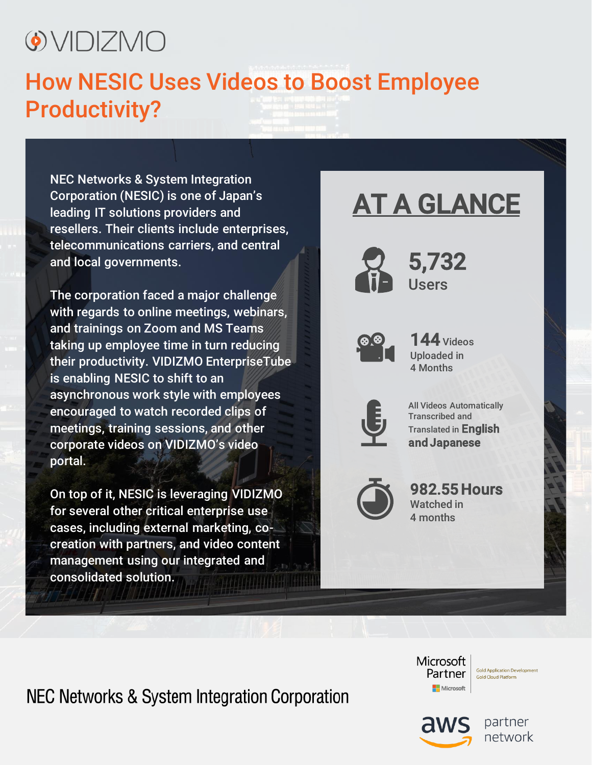# O VIDIZMO

### How NESIC Uses Videos to Boost Employee Productivity?

NEC Networks & System Integration Corporation (NESIC) is one of Japan's leading IT solutions providers and resellers. Their clients include enterprises, telecommunications carriers, and central and local governments.

The corporation faced a major challenge with regards to online meetings, webinars, and trainings on Zoom and MS Teams taking up employee time in turn reducing their productivity. VIDIZMO EnterpriseTube is enabling NESIC to shift to an asynchronous work style with employees encouraged to watch recorded clips of meetings, training sessions, and other corporate videos on VIDIZMO's video portal.

On top of it, NESIC is leveraging VIDIZMO for several other critical enterprise use cases, including external marketing, cocreation with partners, and video content management using our integrated and consolidated solution.

## AT A GLANCE



5,732 Users



144 Videos Uploaded in 4 Months



All Videos Automatically Transcribed and Translated in English and Japanese



982.55 Hours Watched in 4 months

NEC Networks & System Integration Corporation

**Microsoft** Partner Microsoft

**Gold Application Development Gold Cloud Platform** 

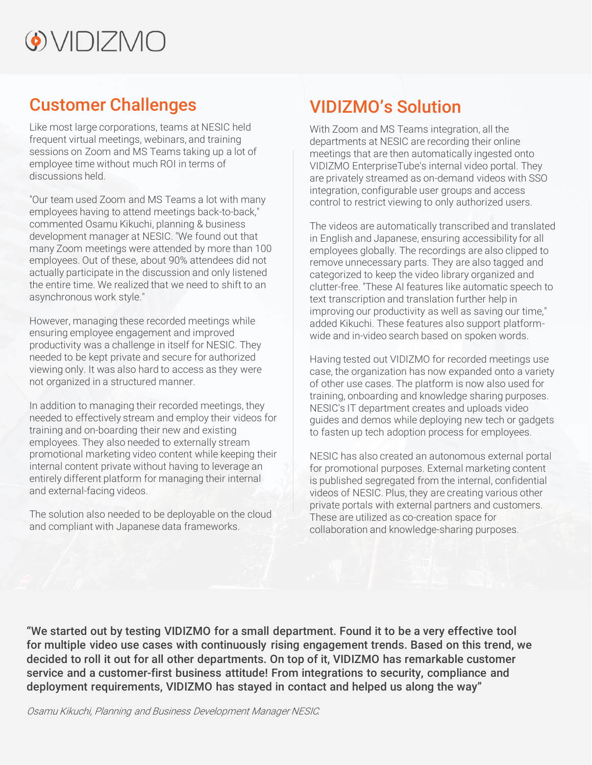## $\odot$  VIDIZMO

### Customer Challenges

Like most large corporations, teams at NESIC held frequent virtual meetings, webinars, and training sessions on Zoom and MS Teams taking up a lot of employee time without much ROI in terms of discussions held.

"Our team used Zoom and MS Teams a lot with many employees having to attend meetings back-to-back," commented Osamu Kikuchi, planning & business development manager at NESIC. "We found out that many Zoom meetings were attended by more than 100 employees. Out of these, about 90% attendees did not actually participate in the discussion and only listened the entire time. We realized that we need to shift to an asynchronous work style."

However, managing these recorded meetings while ensuring employee engagement and improved productivity was a challenge in itself for NESIC. They needed to be kept private and secure for authorized viewing only. It was also hard to access as they were not organized in a structured manner.

In addition to managing their recorded meetings, they needed to effectively stream and employ their videos for training and on-boarding their new and existing employees. They also needed to externally stream promotional marketing video content while keeping their internal content private without having to leverage an entirely different platform for managing their internal and external-facing videos.

The solution also needed to be deployable on the cloud and compliant with Japanese data frameworks.

### VIDIZMO's Solution

With Zoom and MS Teams integration, all the departments at NESIC are recording their online meetings that are then automatically ingested onto VIDIZMO EnterpriseTube's internal video portal. They are privately streamed as on-demand videos with SSO integration, configurable user groups and access control to restrict viewing to only authorized users.

The videos are automatically transcribed and translated in English and Japanese, ensuring accessibility for all employees globally. The recordings are also clipped to remove unnecessary parts. They are also tagged and categorized to keep the video library organized and clutter-free. "These AI features like automatic speech to text transcription and translation further help in improving our productivity as well as saving our time," added Kikuchi. These features also support platformwide and in-video search based on spoken words.

Having tested out VIDIZMO for recorded meetings use case, the organization has now expanded onto a variety of other use cases. The platform is now also used for training, onboarding and knowledge sharing purposes. NESIC's IT department creates and uploads video guides and demos while deploying new tech or gadgets to fasten up tech adoption process for employees.

NESIC has also created an autonomous external portal for promotional purposes. External marketing content is published segregated from the internal, confidential videos of NESIC. Plus, they are creating various other private portals with external partners and customers. These are utilized as co-creation space for collaboration and knowledge-sharing purposes.

"We started out by testing VIDIZMO for a small department. Found it to be a very effective tool for multiple video use cases with continuously rising engagement trends. Based on this trend, we decided to roll it out for all other departments. On top of it, VIDIZMO has remarkable customer service and a customer-first business attitude! From integrations to security, compliance and deployment requirements, VIDIZMO has stayed in contact and helped us along the way"

Osamu Kikuchi, Planning and Business Development Manager NESIC.